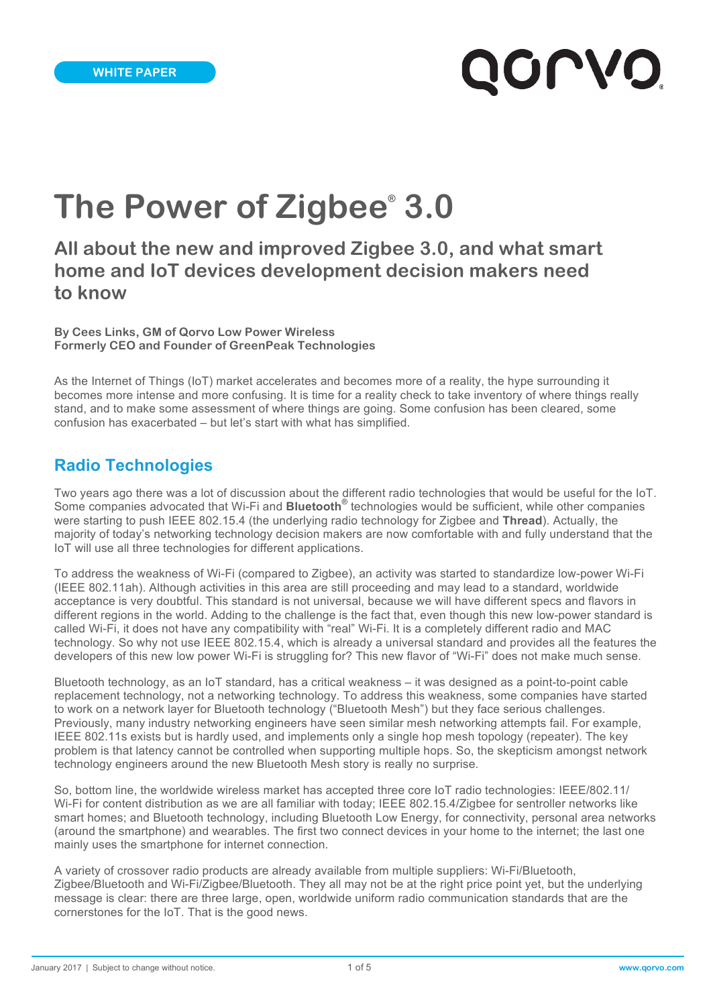# QOLVO'

## **The Power of Zigbee® 3.0**

**All about the new and improved Zigbee 3.0, and what smart home and IoT devices development decision makers need to know**

**By Cees Links, GM of Qorvo Low Power Wireless Formerly CEO and Founder of GreenPeak Technologies**

As the Internet of Things (IoT) market accelerates and becomes more of a reality, the hype surrounding it becomes more intense and more confusing. It is time for a reality check to take inventory of where things really stand, and to make some assessment of where things are going. Some confusion has been cleared, some confusion has exacerbated – but let's start with what has simplified.

#### **Radio Technologies**

Two years ago there was a lot of discussion about the different radio technologies that would be useful for the IoT. Some companies advocated that Wi-Fi and **Bluetooth®** technologies would be sufficient, while other companies were starting to push IEEE 802.15.4 (the underlying radio technology for Zigbee and **Thread**). Actually, the majority of today's networking technology decision makers are now comfortable with and fully understand that the IoT will use all three technologies for different applications.

To address the weakness of Wi-Fi (compared to Zigbee), an activity was started to standardize low-power Wi-Fi (IEEE 802.11ah). Although activities in this area are still proceeding and may lead to a standard, worldwide acceptance is very doubtful. This standard is not universal, because we will have different specs and flavors in different regions in the world. Adding to the challenge is the fact that, even though this new low-power standard is called Wi-Fi, it does not have any compatibility with "real" Wi-Fi. It is a completely different radio and MAC technology. So why not use IEEE 802.15.4, which is already a universal standard and provides all the features the developers of this new low power Wi-Fi is struggling for? This new flavor of "Wi-Fi" does not make much sense.

Bluetooth technology, as an IoT standard, has a critical weakness – it was designed as a point-to-point cable replacement technology, not a networking technology. To address this weakness, some companies have started to work on a network layer for Bluetooth technology ("Bluetooth Mesh") but they face serious challenges. Previously, many industry networking engineers have seen similar mesh networking attempts fail. For example, IEEE 802.11s exists but is hardly used, and implements only a single hop mesh topology (repeater). The key problem is that latency cannot be controlled when supporting multiple hops. So, the skepticism amongst network technology engineers around the new Bluetooth Mesh story is really no surprise.

So, bottom line, the worldwide wireless market has accepted three core IoT radio technologies: IEEE/802.11/ Wi-Fi for content distribution as we are all familiar with today; IEEE 802.15.4/Zigbee for sentroller networks like smart homes; and Bluetooth technology, including Bluetooth Low Energy, for connectivity, personal area networks (around the smartphone) and wearables. The first two connect devices in your home to the internet; the last one mainly uses the smartphone for internet connection.

A variety of crossover radio products are already available from multiple suppliers: Wi-Fi/Bluetooth, Zigbee/Bluetooth and Wi-Fi/Zigbee/Bluetooth. They all may not be at the right price point yet, but the underlying message is clear: there are three large, open, worldwide uniform radio communication standards that are the cornerstones for the IoT. That is the good news.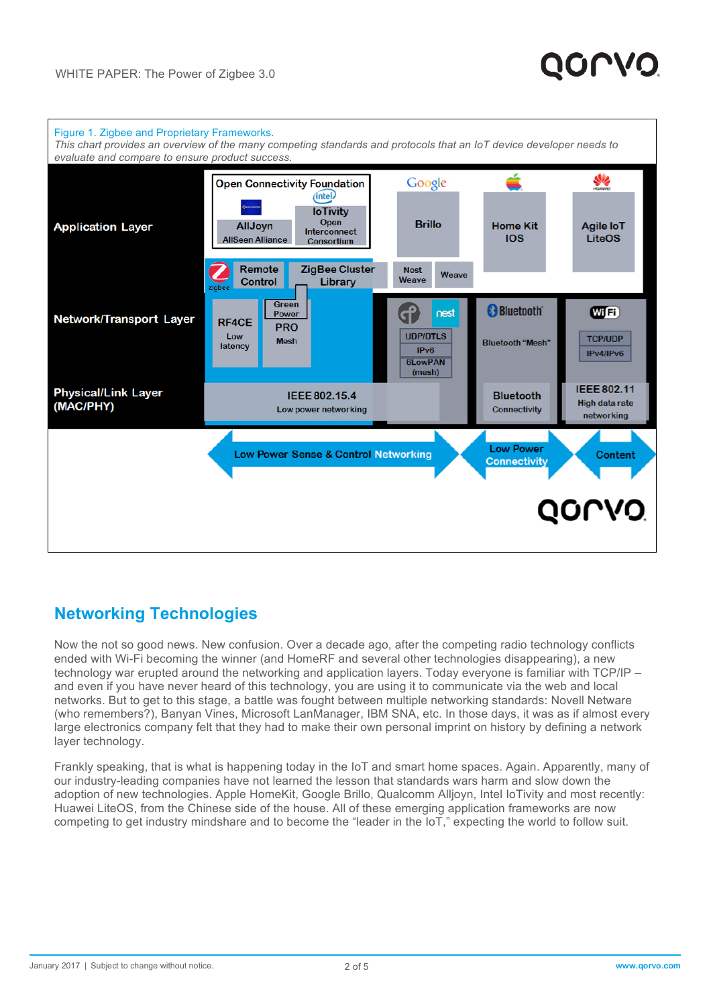

#### **Networking Technologies**

Now the not so good news. New confusion. Over a decade ago, after the competing radio technology conflicts ended with Wi-Fi becoming the winner (and HomeRF and several other technologies disappearing), a new technology war erupted around the networking and application layers. Today everyone is familiar with TCP/IP – and even if you have never heard of this technology, you are using it to communicate via the web and local networks. But to get to this stage, a battle was fought between multiple networking standards: Novell Netware (who remembers?), Banyan Vines, Microsoft LanManager, IBM SNA, etc. In those days, it was as if almost every large electronics company felt that they had to make their own personal imprint on history by defining a network layer technology.

Frankly speaking, that is what is happening today in the IoT and smart home spaces. Again. Apparently, many of our industry-leading companies have not learned the lesson that standards wars harm and slow down the adoption of new technologies. Apple HomeKit, Google Brillo, Qualcomm Alljoyn, Intel IoTivity and most recently: Huawei LiteOS, from the Chinese side of the house. All of these emerging application frameworks are now competing to get industry mindshare and to become the "leader in the IoT," expecting the world to follow suit.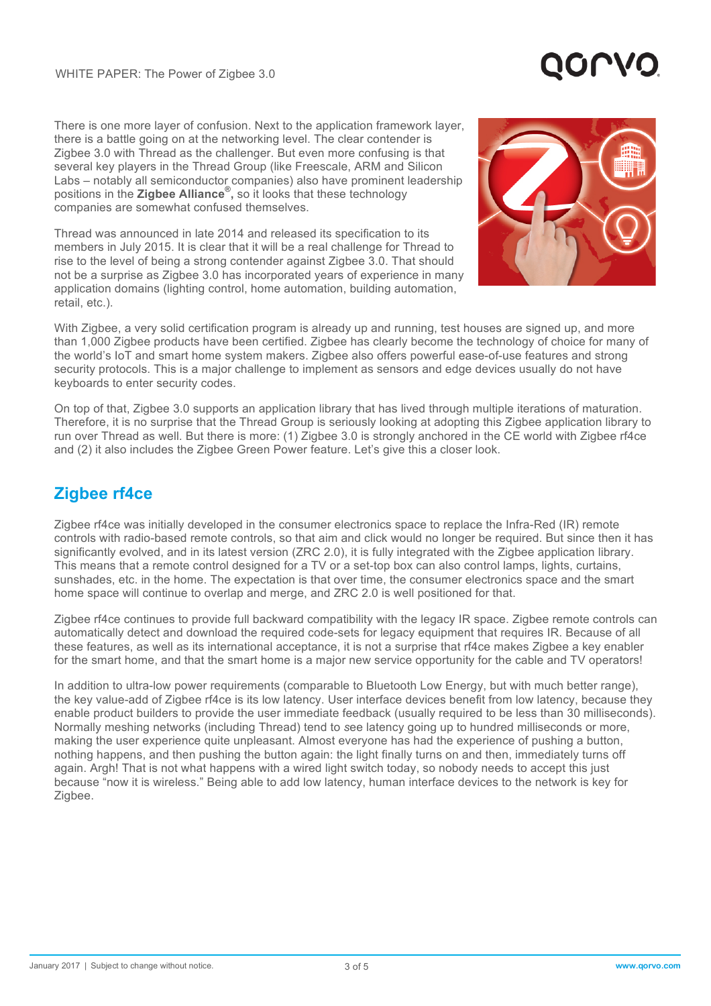There is one more layer of confusion. Next to the application framework layer, there is a battle going on at the networking level. The clear contender is Zigbee 3.0 with Thread as the challenger. But even more confusing is that several key players in the Thread Group (like Freescale, ARM and Silicon Labs – notably all semiconductor companies) also have prominent leadership positions in the **Zigbee Alliance® ,** so it looks that these technology companies are somewhat confused themselves.

Thread was announced in late 2014 and released its specification to its members in July 2015. It is clear that it will be a real challenge for Thread to rise to the level of being a strong contender against Zigbee 3.0. That should not be a surprise as Zigbee 3.0 has incorporated years of experience in many application domains (lighting control, home automation, building automation, retail, etc.).



With Zigbee, a very solid certification program is already up and running, test houses are signed up, and more than 1,000 Zigbee products have been certified. Zigbee has clearly become the technology of choice for many of the world's IoT and smart home system makers. Zigbee also offers powerful ease-of-use features and strong security protocols. This is a major challenge to implement as sensors and edge devices usually do not have keyboards to enter security codes.

On top of that, Zigbee 3.0 supports an application library that has lived through multiple iterations of maturation. Therefore, it is no surprise that the Thread Group is seriously looking at adopting this Zigbee application library to run over Thread as well. But there is more: (1) Zigbee 3.0 is strongly anchored in the CE world with Zigbee rf4ce and (2) it also includes the Zigbee Green Power feature. Let's give this a closer look.

### **Zigbee rf4ce**

Zigbee rf4ce was initially developed in the consumer electronics space to replace the Infra-Red (IR) remote controls with radio-based remote controls, so that aim and click would no longer be required. But since then it has significantly evolved, and in its latest version (ZRC 2.0), it is fully integrated with the Zigbee application library. This means that a remote control designed for a TV or a set-top box can also control lamps, lights, curtains, sunshades, etc. in the home. The expectation is that over time, the consumer electronics space and the smart home space will continue to overlap and merge, and ZRC 2.0 is well positioned for that.

Zigbee rf4ce continues to provide full backward compatibility with the legacy IR space. Zigbee remote controls can automatically detect and download the required code-sets for legacy equipment that requires IR. Because of all these features, as well as its international acceptance, it is not a surprise that rf4ce makes Zigbee a key enabler for the smart home, and that the smart home is a major new service opportunity for the cable and TV operators!

In addition to ultra-low power requirements (comparable to Bluetooth Low Energy, but with much better range), the key value-add of Zigbee rf4ce is its low latency. User interface devices benefit from low latency, because they enable product builders to provide the user immediate feedback (usually required to be less than 30 milliseconds). Normally meshing networks (including Thread) tend to *s*ee latency going up to hundred milliseconds or more, making the user experience quite unpleasant. Almost everyone has had the experience of pushing a button, nothing happens, and then pushing the button again: the light finally turns on and then, immediately turns off again. Argh! That is not what happens with a wired light switch today, so nobody needs to accept this just because "now it is wireless." Being able to add low latency, human interface devices to the network is key for Zigbee.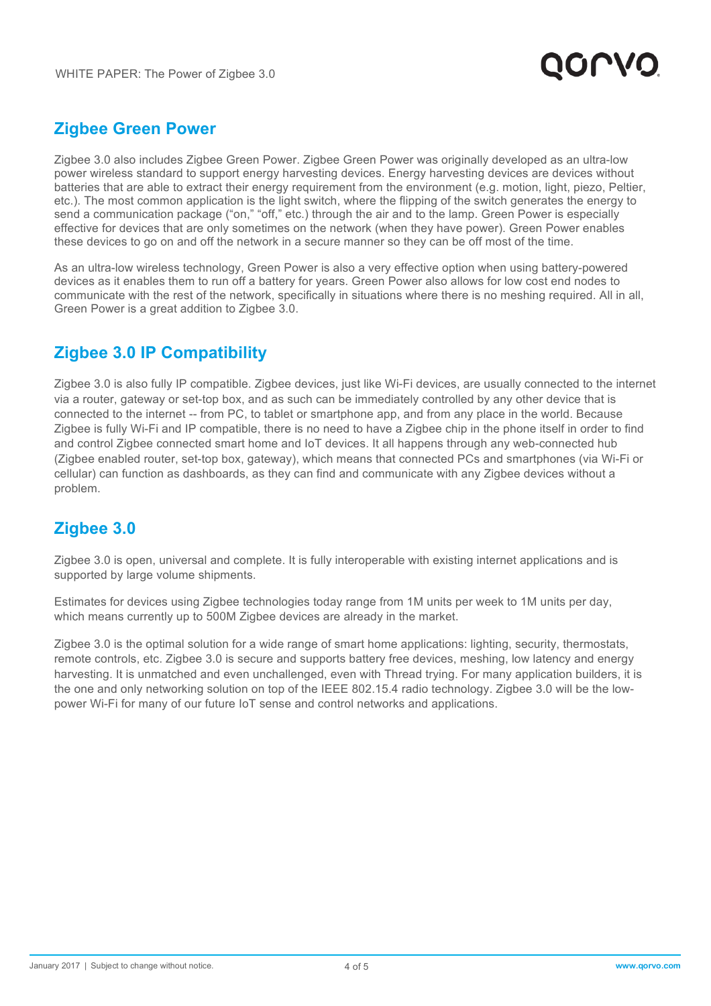

#### **Zigbee Green Power**

Zigbee 3.0 also includes Zigbee Green Power. Zigbee Green Power was originally developed as an ultra-low power wireless standard to support energy harvesting devices. Energy harvesting devices are devices without batteries that are able to extract their energy requirement from the environment (e.g. motion, light, piezo, Peltier, etc.). The most common application is the light switch, where the flipping of the switch generates the energy to send a communication package ("on," "off," etc.) through the air and to the lamp. Green Power is especially effective for devices that are only sometimes on the network (when they have power). Green Power enables these devices to go on and off the network in a secure manner so they can be off most of the time.

As an ultra-low wireless technology, Green Power is also a very effective option when using battery-powered devices as it enables them to run off a battery for years. Green Power also allows for low cost end nodes to communicate with the rest of the network, specifically in situations where there is no meshing required. All in all, Green Power is a great addition to Zigbee 3.0.

#### **Zigbee 3.0 IP Compatibility**

Zigbee 3.0 is also fully IP compatible. Zigbee devices, just like Wi-Fi devices, are usually connected to the internet via a router, gateway or set-top box, and as such can be immediately controlled by any other device that is connected to the internet -- from PC, to tablet or smartphone app, and from any place in the world. Because Zigbee is fully Wi-Fi and IP compatible, there is no need to have a Zigbee chip in the phone itself in order to find and control Zigbee connected smart home and IoT devices. It all happens through any web-connected hub (Zigbee enabled router, set-top box, gateway), which means that connected PCs and smartphones (via Wi-Fi or cellular) can function as dashboards, as they can find and communicate with any Zigbee devices without a problem.

#### **Zigbee 3.0**

Zigbee 3.0 is open, universal and complete. It is fully interoperable with existing internet applications and is supported by large volume shipments.

Estimates for devices using Zigbee technologies today range from 1M units per week to 1M units per day, which means currently up to 500M Zigbee devices are already in the market.

Zigbee 3.0 is the optimal solution for a wide range of smart home applications: lighting, security, thermostats, remote controls, etc. Zigbee 3.0 is secure and supports battery free devices, meshing, low latency and energy harvesting. It is unmatched and even unchallenged, even with Thread trying. For many application builders, it is the one and only networking solution on top of the IEEE 802.15.4 radio technology. Zigbee 3.0 will be the lowpower Wi-Fi for many of our future IoT sense and control networks and applications.